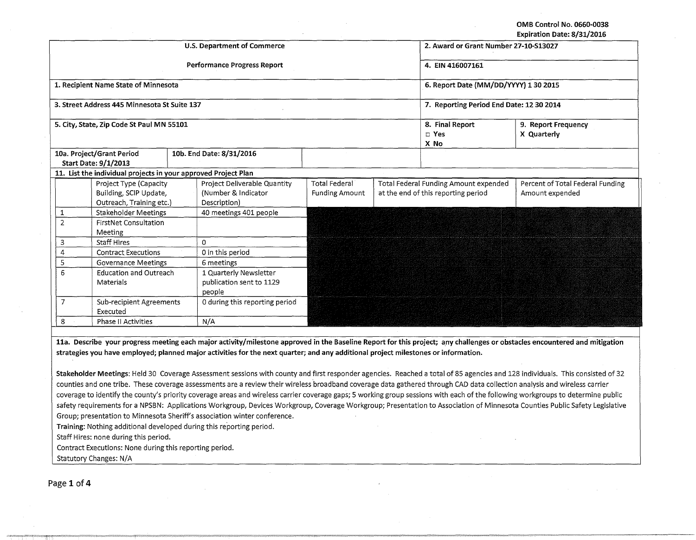OMB Control No. 0660-0038 Expiration Date: 8/31/2016

|                                            |                                                                |                                |                                    |                                          |                                     |                                          | EXPITATION DATE, 0/31/4010         |
|--------------------------------------------|----------------------------------------------------------------|--------------------------------|------------------------------------|------------------------------------------|-------------------------------------|------------------------------------------|------------------------------------|
|                                            |                                                                |                                | <b>U.S. Department of Commerce</b> | 2. Award or Grant Number 27-10-513027    |                                     |                                          |                                    |
|                                            |                                                                |                                | <b>Performance Progress Report</b> | 4. EIN 416007161                         |                                     |                                          |                                    |
|                                            | 1. Recipient Name State of Minnesota                           |                                |                                    | 6. Report Date (MM/DD/YYYY) 1 30 2015    |                                     |                                          |                                    |
|                                            | 3. Street Address 445 Minnesota St Suite 137                   |                                |                                    | 7. Reporting Period End Date: 12 30 2014 |                                     |                                          |                                    |
|                                            | 5. City, State, Zip Code St Paul MN 55101                      |                                |                                    |                                          |                                     | 8. Final Report<br>$\square$ Yes<br>X No | 9. Report Frequency<br>X Quarterly |
|                                            | 10a. Project/Grant Period                                      |                                | 10b. End Date: 8/31/2016           |                                          |                                     |                                          |                                    |
|                                            | <b>Start Date: 9/1/2013</b>                                    |                                |                                    |                                          |                                     |                                          |                                    |
|                                            | 11. List the individual projects in your approved Project Plan |                                |                                    |                                          |                                     |                                          |                                    |
|                                            | Project Type (Capacity                                         |                                | Project Deliverable Quantity       | <b>Total Federal</b>                     |                                     | Total Federal Funding Amount expended    | Percent of Total Federal Funding   |
|                                            | Building, SCIP Update,                                         |                                | (Number & Indicator                | <b>Funding Amount</b>                    | at the end of this reporting period |                                          | Amount expended                    |
|                                            | Outreach, Training etc.)                                       |                                | Description)                       |                                          |                                     |                                          |                                    |
| 1                                          | Stakeholder Meetings                                           |                                | 40 meetings 401 people             |                                          |                                     |                                          |                                    |
| $\overline{2}$                             | <b>FirstNet Consultation</b>                                   |                                |                                    |                                          |                                     |                                          |                                    |
| Meeting                                    |                                                                |                                |                                    |                                          |                                     |                                          |                                    |
| <b>Staff Hires</b><br>3                    |                                                                | 0                              |                                    |                                          |                                     |                                          |                                    |
| 4                                          | <b>Contract Executions</b>                                     |                                | 0 in this period                   |                                          |                                     |                                          |                                    |
| 5                                          | <b>Governance Meetings</b>                                     |                                | 6 meetings                         |                                          |                                     |                                          |                                    |
| 6                                          | <b>Education and Outreach</b>                                  |                                | 1 Quarterly Newsletter             |                                          |                                     |                                          |                                    |
| Materials                                  |                                                                | publication sent to 1129       |                                    |                                          |                                     |                                          |                                    |
|                                            |                                                                | people                         |                                    |                                          |                                     |                                          |                                    |
| $\overline{7}$<br>Sub-recipient Agreements |                                                                | 0 during this reporting period |                                    |                                          |                                     |                                          |                                    |
| Executed                                   |                                                                |                                |                                    |                                          |                                     |                                          |                                    |
| 8<br><b>Phase II Activities</b>            |                                                                |                                | N/A                                |                                          |                                     |                                          |                                    |
|                                            |                                                                |                                |                                    |                                          |                                     |                                          |                                    |

lla. Describe your progress meeting each major activity/milestone approved in the Baseline Report for this project; any challenges or obstacles encountered and mitigation strategies you have employed; planned major activities for the next quarter; and any additional project milestones or information.

Stakeholder Meetings: Held 30 Coverage Assessment sessions with county and first responder agencies. Reached a total of 85 agencies and 128 individuals. This consisted of 32 counties and one tribe. These coverage assessments are a review their wireless broadband coverage data gathered through CAD data collection analysis and wireless carrier coverage to identify the county's priority coverage areas and wireless carrier coverage gaps; 5 working group sessions with each of the following workgroups to determine public safety requirements for a NPSBN: Applications Workgroup, Devices Workgroup, Coverage Workgroup; Presentation to Association of Minnesota Counties Public Safety Legislative Group; presentation to Minnesota Sheriff's association winter conference.

Training: Nothing additional developed during this reporting period.

Staff Hires: none during this period.

Contract Executions: None during this reporting period.

Statutory Changes: N/A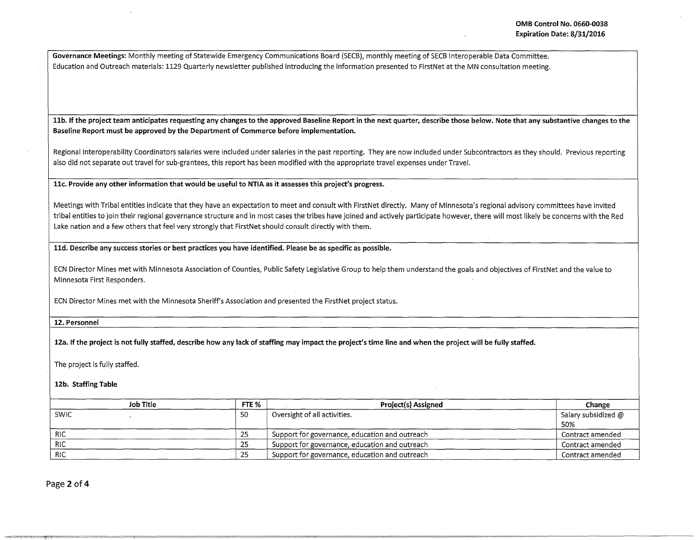Governance Meetings: Monthly meeting of Statewide Emergency Communications Board {SECB), monthly meeting of SECB Interoperable Data Committee. Education and Outreach materials: 1129 Quarterly newsletter published introducing the information presented to FirstNet at the MN consultation meeting.

11b. If the project team anticipates requesting any changes to the approved Baseline Report in the next quarter, describe those below. Note that any substantive changes to the Baseline Report must be approved by the Department of Commerce before implementation.

Regional Interoperability Coordinators salaries were included under salaries in the past reporting. They are now included under Subcontractors as they should. Previous reporting also did not separate out travel for sub-grantees, this report has been modified with the appropriate travel expenses under Travel.

llc. Provide any other information that would be useful to NTIA as it assesses this project's progress.

Meetings with Tribal entities indicate that they have an expectation to meet and consult with FirstNet directly. Many of Minnesota's regional advisory committees have invited tribal entities to join their regional governance structure and in most cases the tribes have joined and actively participate however, there will most likely be concerns with the Red Lake nation and a few others that feel very strongly that FirstNet should consult directly with them.

lld. Describe any success stories or best practices you have identified. Please be as specific as possible.

ECN Director Mines met with Minnesota Association of Counties, Public Safety Legislative Group to help them understand the goals and objectives of FirstNet and the value to Minnesota First Responders.

ECN Director Mines met with the Minnesota Sheriff's Association and presented the FirstNet project status.

12. Personnel

12a. If the project is not fully staffed, describe how any lack of staffing may impact the project's time line and when the project will be fully staffed.

The project is fully staffed.

12b. Staffing Table

|             | Job Title | FTE %    | <b>Project(s) Assigned</b>                     | Change                     |
|-------------|-----------|----------|------------------------------------------------|----------------------------|
| <b>SWIC</b> |           | 50       | Oversight of all activities.                   | Salary subsidized @<br>50% |
| <b>RIC</b>  |           | つに<br>رے | Support for governance, education and outreach | Contract amended           |
| <b>RIC</b>  |           | 25       | Support for governance, education and outreach | Contract amended           |
| <b>RIC</b>  |           | つち<br>ت  | Support for governance, education and outreach | Contract amended           |

Page 2 of 4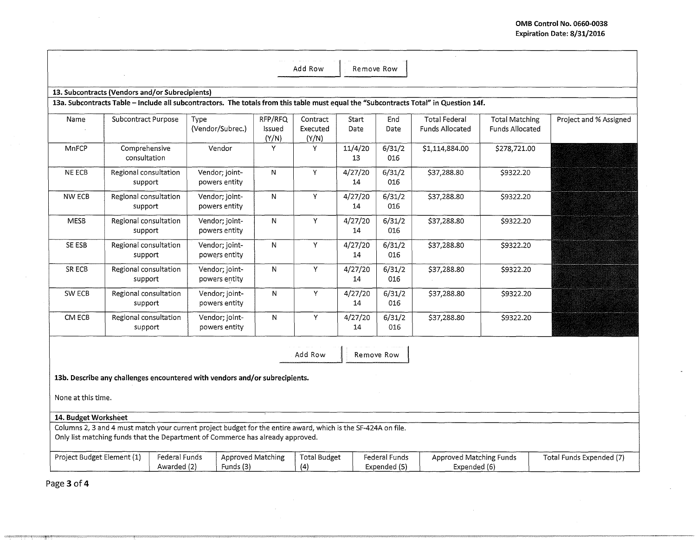L.

|                                                                                                                                                                                                 |                                  |                              |                                 |                            | Add Row                       | Remove Row    |                               |                                                                                                                                       |                                          |                          |
|-------------------------------------------------------------------------------------------------------------------------------------------------------------------------------------------------|----------------------------------|------------------------------|---------------------------------|----------------------------|-------------------------------|---------------|-------------------------------|---------------------------------------------------------------------------------------------------------------------------------------|------------------------------------------|--------------------------|
|                                                                                                                                                                                                 |                                  |                              |                                 |                            |                               |               |                               |                                                                                                                                       |                                          |                          |
| 13. Subcontracts (Vendors and/or Subrecipients)                                                                                                                                                 |                                  |                              |                                 |                            |                               |               |                               |                                                                                                                                       |                                          |                          |
|                                                                                                                                                                                                 |                                  |                              |                                 |                            |                               |               |                               | 13a. Subcontracts Table - Include all subcontractors. The totals from this table must equal the "Subcontracts Total" in Question 14f. |                                          |                          |
| Name                                                                                                                                                                                            | Subcontract Purpose              | Type                         | (Vendor/Subrec.)                | RFP/RFQ<br>Issued<br>(Y/N) | Contract<br>Executed<br>(Y/N) | Start<br>Date | End<br>Date                   | <b>Total Federal</b><br>Funds Allocated                                                                                               | <b>Total Matching</b><br>Funds Allocated | Project and % Assigned   |
| MnFCP                                                                                                                                                                                           | Comprehensive<br>consultation    |                              | Vendor                          | Y                          | Y                             | 11/4/20<br>13 | 6/31/2<br>016                 | \$1,114,884.00                                                                                                                        | \$278,721.00                             |                          |
| NE ECB                                                                                                                                                                                          | Regional consultation<br>support |                              | Vendor; joint-<br>powers entity | $\mathsf{N}$               | Y                             | 4/27/20<br>14 | 6/31/2<br>016                 | \$37,288.80                                                                                                                           | \$9322.20                                |                          |
| <b>NW ECB</b>                                                                                                                                                                                   | Regional consultation<br>support |                              | Vendor; joint-<br>powers entity | ${\sf N}$                  | Y                             | 4/27/20<br>14 | 6/31/2<br>016                 | \$37,288.80                                                                                                                           | \$9322.20                                |                          |
| <b>MESB</b>                                                                                                                                                                                     | Regional consultation<br>support |                              | Vendor: joint-<br>powers entity | N                          | Y                             | 4/27/20<br>14 | 6/31/2<br>016                 | \$37,288.80                                                                                                                           | \$9322.20                                |                          |
| SE ESB                                                                                                                                                                                          | Regional consultation<br>support |                              | Vendor; joint-<br>powers entity | ${\sf N}$                  | Y                             | 4/27/20<br>14 | 6/31/2<br>016                 | \$37,288.80                                                                                                                           | \$9322.20                                |                          |
| SR ECB                                                                                                                                                                                          | Regional consultation<br>support |                              | Vendor; joint-<br>powers entity | N                          | Y                             | 4/27/20<br>14 | 6/31/2<br>016                 | \$37,288.80                                                                                                                           | \$9322.20                                |                          |
| SW ECB                                                                                                                                                                                          | Regional consultation<br>support |                              | Vendor; joint-<br>powers entity | N                          | Y                             | 4/27/20<br>14 | 6/31/2<br>016                 | \$37,288.80                                                                                                                           | \$9322.20                                |                          |
| CM ECB                                                                                                                                                                                          | Regional consultation<br>support |                              | Vendor; joint-<br>powers entity | $\mathsf{N}$               | Y                             | 4/27/20<br>14 | 6/31/2<br>016                 | \$37,288.80                                                                                                                           | \$9322.20                                |                          |
| Add Row<br>Remove Row                                                                                                                                                                           |                                  |                              |                                 |                            |                               |               |                               |                                                                                                                                       |                                          |                          |
| 13b. Describe any challenges encountered with vendors and/or subrecipients.                                                                                                                     |                                  |                              |                                 |                            |                               |               |                               |                                                                                                                                       |                                          |                          |
| None at this time.                                                                                                                                                                              |                                  |                              |                                 |                            |                               |               |                               |                                                                                                                                       |                                          |                          |
| 14. Budget Worksheet                                                                                                                                                                            |                                  |                              |                                 |                            |                               |               |                               |                                                                                                                                       |                                          |                          |
| Columns 2, 3 and 4 must match your current project budget for the entire award, which is the SF-424A on file.<br>Only list matching funds that the Department of Commerce has already approved. |                                  |                              |                                 |                            |                               |               |                               |                                                                                                                                       |                                          |                          |
| Project Budget Element (1)                                                                                                                                                                      |                                  | Federal Funds<br>Awarded (2) |                                 | Approved Matching          | <b>Total Budget</b><br>(4)    |               | Federal Funds<br>Expended (5) | Approved Matching Funds<br>Expended (6)                                                                                               |                                          | Total Funds Expended (7) |

Page **3 of4**